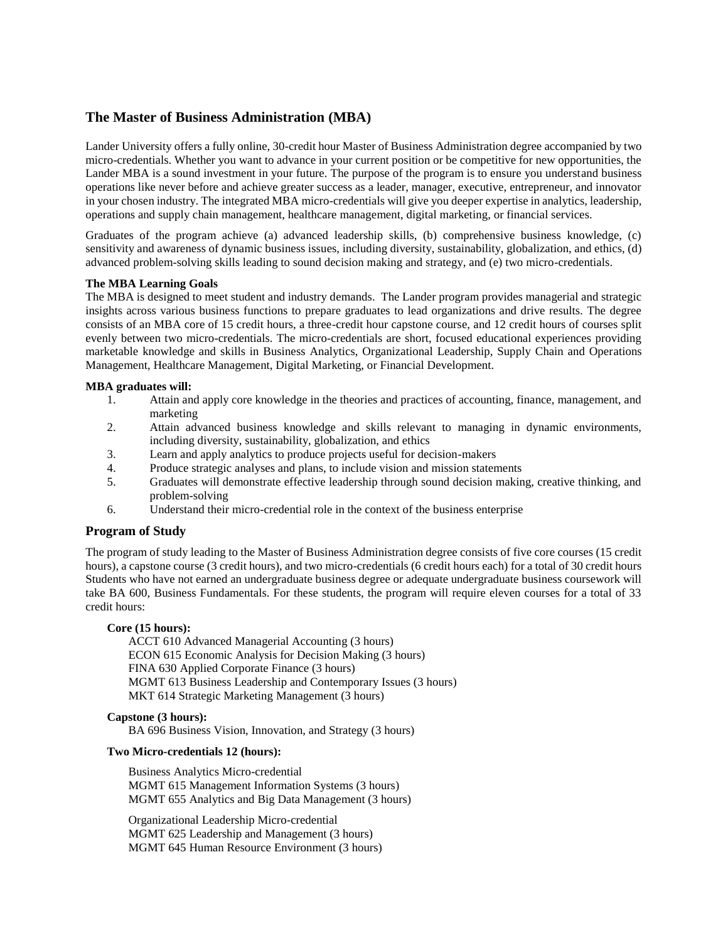# **The Master of Business Administration (MBA)**

Lander University offers a fully online, 30-credit hour Master of Business Administration degree accompanied by two micro-credentials. Whether you want to advance in your current position or be competitive for new opportunities, the Lander MBA is a sound investment in your future. The purpose of the program is to ensure you understand business operations like never before and achieve greater success as a leader, manager, executive, entrepreneur, and innovator in your chosen industry. The integrated MBA micro-credentials will give you deeper expertise in analytics, leadership, operations and supply chain management, healthcare management, digital marketing, or financial services.

Graduates of the program achieve (a) advanced leadership skills, (b) comprehensive business knowledge, (c) sensitivity and awareness of dynamic business issues, including diversity, sustainability, globalization, and ethics, (d) advanced problem-solving skills leading to sound decision making and strategy, and (e) two micro-credentials.

## **The MBA Learning Goals**

The MBA is designed to meet student and industry demands. The Lander program provides managerial and strategic insights across various business functions to prepare graduates to lead organizations and drive results. The degree consists of an MBA core of 15 credit hours, a three-credit hour capstone course, and 12 credit hours of courses split evenly between two micro-credentials. The micro-credentials are short, focused educational experiences providing marketable knowledge and skills in Business Analytics, Organizational Leadership, Supply Chain and Operations Management, Healthcare Management, Digital Marketing, or Financial Development.

### **MBA graduates will:**

- 1. Attain and apply core knowledge in the theories and practices of accounting, finance, management, and marketing
- 2. Attain advanced business knowledge and skills relevant to managing in dynamic environments, including diversity, sustainability, globalization, and ethics
- 3. Learn and apply analytics to produce projects useful for decision-makers
- 4. Produce strategic analyses and plans, to include vision and mission statements
- 5. Graduates will demonstrate effective leadership through sound decision making, creative thinking, and problem-solving
- 6. Understand their micro-credential role in the context of the business enterprise

## **Program of Study**

The program of study leading to the Master of Business Administration degree consists of five core courses (15 credit hours), a capstone course (3 credit hours), and two micro-credentials (6 credit hours each) for a total of 30 credit hours Students who have not earned an undergraduate business degree or adequate undergraduate business coursework will take BA 600, Business Fundamentals. For these students, the program will require eleven courses for a total of 33 credit hours:

#### **Core (15 hours):**

ACCT 610 Advanced Managerial Accounting (3 hours) ECON 615 Economic Analysis for Decision Making (3 hours) FINA 630 Applied Corporate Finance (3 hours) MGMT 613 Business Leadership and Contemporary Issues (3 hours) MKT 614 Strategic Marketing Management (3 hours)

#### **Capstone (3 hours):**

BA 696 Business Vision, Innovation, and Strategy (3 hours)

#### **Two Micro-credentials 12 (hours):**

Business Analytics Micro-credential MGMT 615 Management Information Systems (3 hours) MGMT 655 Analytics and Big Data Management (3 hours)

Organizational Leadership Micro-credential MGMT 625 Leadership and Management (3 hours) MGMT 645 Human Resource Environment (3 hours)